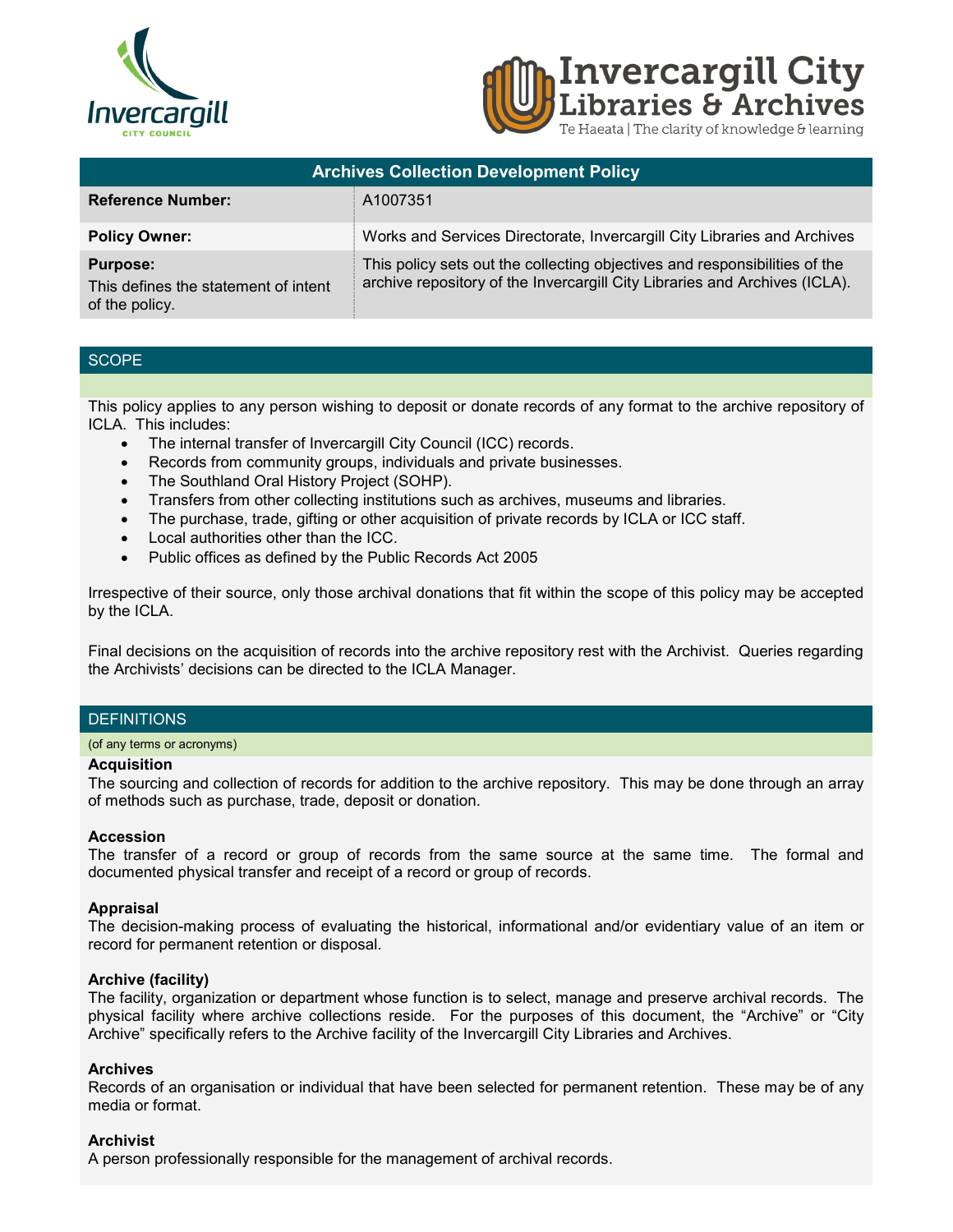



| <b>Archives Collection Development Policy</b>                             |                                                                                                                                                          |
|---------------------------------------------------------------------------|----------------------------------------------------------------------------------------------------------------------------------------------------------|
| <b>Reference Number:</b>                                                  | A1007351                                                                                                                                                 |
| <b>Policy Owner:</b>                                                      | Works and Services Directorate, Invercargill City Libraries and Archives                                                                                 |
| <b>Purpose:</b><br>This defines the statement of intent<br>of the policy. | This policy sets out the collecting objectives and responsibilities of the<br>archive repository of the Invercargill City Libraries and Archives (ICLA). |

# **SCOPE**

This policy applies to any person wishing to deposit or donate records of any format to the archive repository of ICLA. This includes:

- The internal transfer of Invercargill City Council (ICC) records.
- Records from community groups, individuals and private businesses.
- The Southland Oral History Project (SOHP).
- Transfers from other collecting institutions such as archives, museums and libraries.
- The purchase, trade, gifting or other acquisition of private records by ICLA or ICC staff.
- Local authorities other than the ICC.
- Public offices as defined by the Public Records Act 2005

Irrespective of their source, only those archival donations that fit within the scope of this policy may be accepted by the ICLA.

Final decisions on the acquisition of records into the archive repository rest with the Archivist. Queries regarding the Archivists' decisions can be directed to the ICLA Manager.

### **DEFINITIONS**

#### (of any terms or acronyms)

#### **Acquisition**

The sourcing and collection of records for addition to the archive repository. This may be done through an array of methods such as purchase, trade, deposit or donation.

#### **Accession**

The transfer of a record or group of records from the same source at the same time. The formal and documented physical transfer and receipt of a record or group of records.

### **Appraisal**

The decision-making process of evaluating the historical, informational and/or evidentiary value of an item or record for permanent retention or disposal.

### **Archive (facility)**

The facility, organization or department whose function is to select, manage and preserve archival records. The physical facility where archive collections reside. For the purposes of this document, the "Archive" or "City Archive" specifically refers to the Archive facility of the Invercargill City Libraries and Archives.

#### **Archives**

Records of an organisation or individual that have been selected for permanent retention. These may be of any media or format.

### **Archivist**

A person professionally responsible for the management of archival records.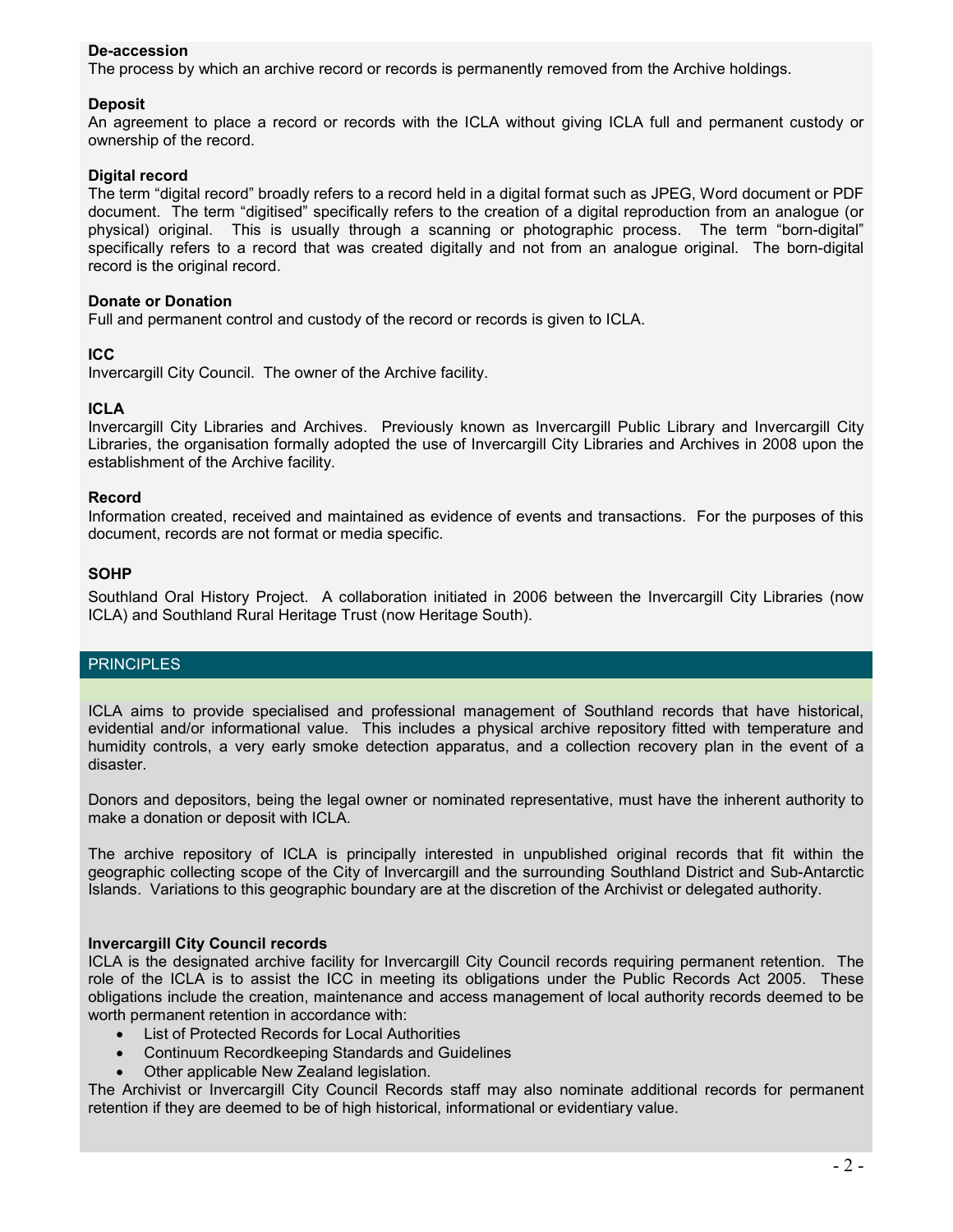# **De-accession**

The process by which an archive record or records is permanently removed from the Archive holdings.

### **Deposit**

An agreement to place a record or records with the ICLA without giving ICLA full and permanent custody or ownership of the record.

## **Digital record**

The term "digital record" broadly refers to a record held in a digital format such as JPEG, Word document or PDF document. The term "digitised" specifically refers to the creation of a digital reproduction from an analogue (or physical) original. This is usually through a scanning or photographic process. The term "born-digital" specifically refers to a record that was created digitally and not from an analogue original. The born-digital record is the original record.

### **Donate or Donation**

Full and permanent control and custody of the record or records is given to ICLA.

## **ICC**

Invercargill City Council. The owner of the Archive facility.

### **ICLA**

Invercargill City Libraries and Archives. Previously known as Invercargill Public Library and Invercargill City Libraries, the organisation formally adopted the use of Invercargill City Libraries and Archives in 2008 upon the establishment of the Archive facility.

#### **Record**

Information created, received and maintained as evidence of events and transactions. For the purposes of this document, records are not format or media specific.

### **SOHP**

Southland Oral History Project. A collaboration initiated in 2006 between the Invercargill City Libraries (now ICLA) and Southland Rural Heritage Trust (now Heritage South).

## **PRINCIPLES**

ICLA aims to provide specialised and professional management of Southland records that have historical, evidential and/or informational value. This includes a physical archive repository fitted with temperature and humidity controls, a very early smoke detection apparatus, and a collection recovery plan in the event of a disaster.

Donors and depositors, being the legal owner or nominated representative, must have the inherent authority to make a donation or deposit with ICLA.

The archive repository of ICLA is principally interested in unpublished original records that fit within the geographic collecting scope of the City of Invercargill and the surrounding Southland District and Sub-Antarctic Islands. Variations to this geographic boundary are at the discretion of the Archivist or delegated authority.

### **Invercargill City Council records**

ICLA is the designated archive facility for Invercargill City Council records requiring permanent retention. The role of the ICLA is to assist the ICC in meeting its obligations under the Public Records Act 2005. These obligations include the creation, maintenance and access management of local authority records deemed to be worth permanent retention in accordance with:

- List of Protected Records for Local Authorities
- Continuum Recordkeeping Standards and Guidelines
- Other applicable New Zealand legislation.

The Archivist or Invercargill City Council Records staff may also nominate additional records for permanent retention if they are deemed to be of high historical, informational or evidentiary value.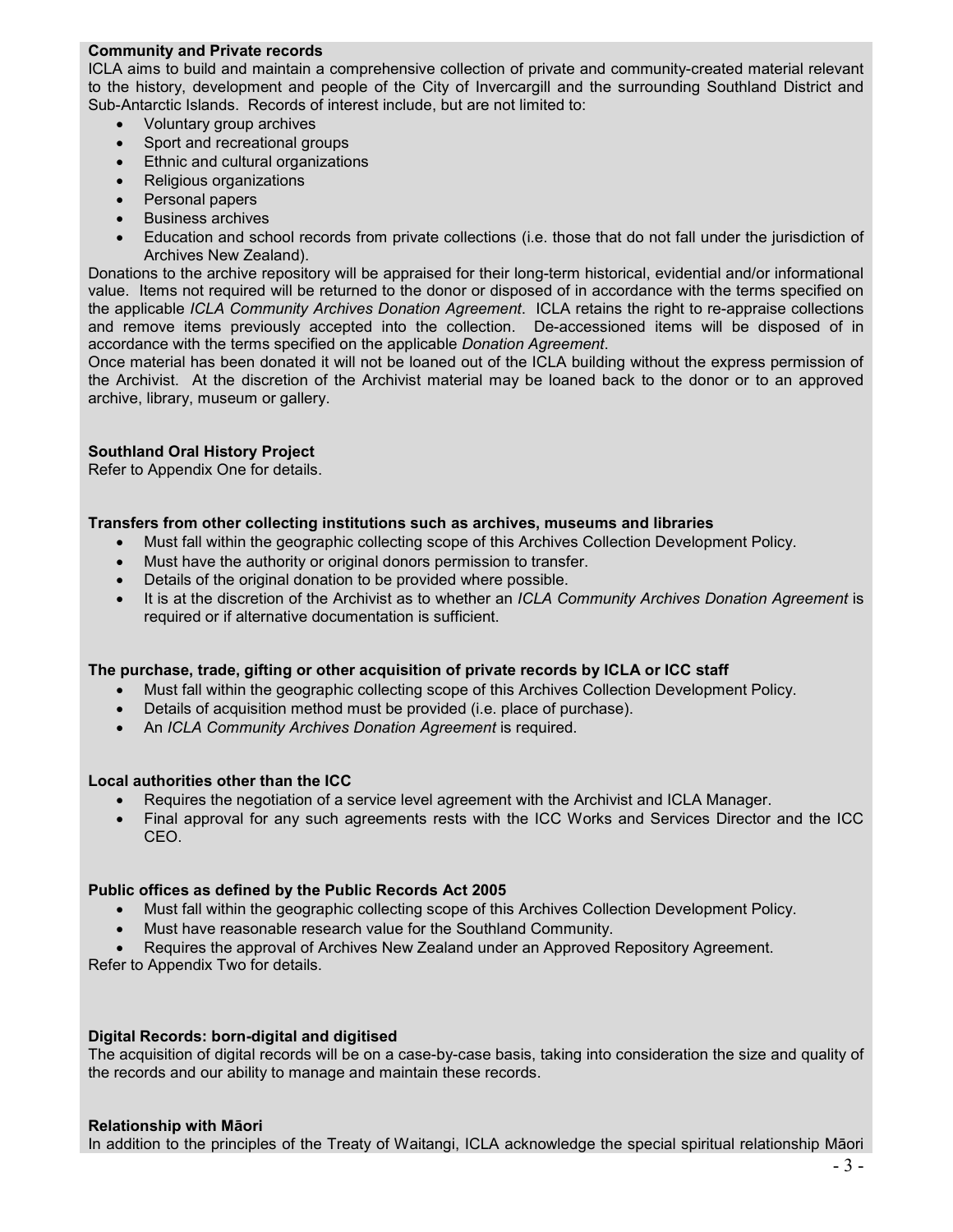## **Community and Private records**

ICLA aims to build and maintain a comprehensive collection of private and community-created material relevant to the history, development and people of the City of Invercargill and the surrounding Southland District and Sub-Antarctic Islands. Records of interest include, but are not limited to:

- Voluntary group archives
- Sport and recreational groups
- Ethnic and cultural organizations
- Religious organizations
- Personal papers
- Business archives
- Education and school records from private collections (i.e. those that do not fall under the jurisdiction of Archives New Zealand).

Donations to the archive repository will be appraised for their long-term historical, evidential and/or informational value. Items not required will be returned to the donor or disposed of in accordance with the terms specified on the applicable *ICLA Community Archives Donation Agreement*. ICLA retains the right to re-appraise collections and remove items previously accepted into the collection. De-accessioned items will be disposed of in accordance with the terms specified on the applicable *Donation Agreement*.

Once material has been donated it will not be loaned out of the ICLA building without the express permission of the Archivist. At the discretion of the Archivist material may be loaned back to the donor or to an approved archive, library, museum or gallery.

### **Southland Oral History Project**

Refer to Appendix One for details.

## **Transfers from other collecting institutions such as archives, museums and libraries**

- Must fall within the geographic collecting scope of this Archives Collection Development Policy.
- Must have the authority or original donors permission to transfer.
- Details of the original donation to be provided where possible.
- It is at the discretion of the Archivist as to whether an *ICLA Community Archives Donation Agreement* is required or if alternative documentation is sufficient.

### **The purchase, trade, gifting or other acquisition of private records by ICLA or ICC staff**

- Must fall within the geographic collecting scope of this Archives Collection Development Policy.
- Details of acquisition method must be provided (i.e. place of purchase).
- An *ICLA Community Archives Donation Agreement* is required.

### **Local authorities other than the ICC**

- Requires the negotiation of a service level agreement with the Archivist and ICLA Manager.
- Final approval for any such agreements rests with the ICC Works and Services Director and the ICC CEO.

### **Public offices as defined by the Public Records Act 2005**

- Must fall within the geographic collecting scope of this Archives Collection Development Policy.
- Must have reasonable research value for the Southland Community.
- Requires the approval of Archives New Zealand under an Approved Repository Agreement.

Refer to Appendix Two for details.

### **Digital Records: born-digital and digitised**

The acquisition of digital records will be on a case-by-case basis, taking into consideration the size and quality of the records and our ability to manage and maintain these records.

### **Relationship with Māori**

In addition to the principles of the Treaty of Waitangi, ICLA acknowledge the special spiritual relationship Māori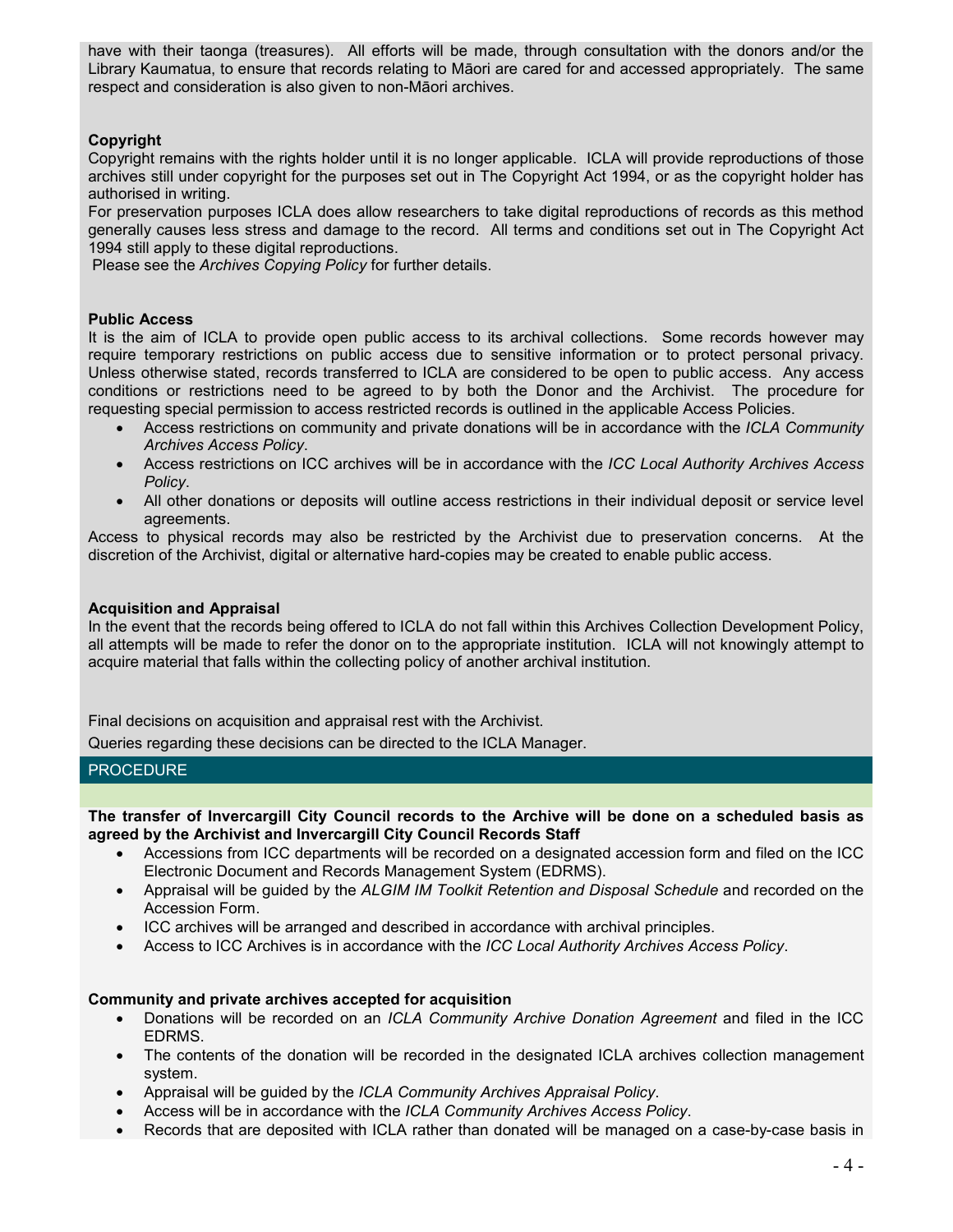have with their taonga (treasures). All efforts will be made, through consultation with the donors and/or the Library Kaumatua, to ensure that records relating to Māori are cared for and accessed appropriately. The same respect and consideration is also given to non-Māori archives.

# **Copyright**

Copyright remains with the rights holder until it is no longer applicable. ICLA will provide reproductions of those archives still under copyright for the purposes set out in The Copyright Act 1994, or as the copyright holder has authorised in writing.

For preservation purposes ICLA does allow researchers to take digital reproductions of records as this method generally causes less stress and damage to the record. All terms and conditions set out in The Copyright Act 1994 still apply to these digital reproductions.

Please see the *Archives Copying Policy* for further details.

## **Public Access**

It is the aim of ICLA to provide open public access to its archival collections. Some records however may require temporary restrictions on public access due to sensitive information or to protect personal privacy. Unless otherwise stated, records transferred to ICLA are considered to be open to public access. Any access conditions or restrictions need to be agreed to by both the Donor and the Archivist. The procedure for requesting special permission to access restricted records is outlined in the applicable Access Policies.

- Access restrictions on community and private donations will be in accordance with the *ICLA Community Archives Access Policy*.
- Access restrictions on ICC archives will be in accordance with the *ICC Local Authority Archives Access Policy*.
- All other donations or deposits will outline access restrictions in their individual deposit or service level agreements.

Access to physical records may also be restricted by the Archivist due to preservation concerns. At the discretion of the Archivist, digital or alternative hard-copies may be created to enable public access.

### **Acquisition and Appraisal**

In the event that the records being offered to ICLA do not fall within this Archives Collection Development Policy, all attempts will be made to refer the donor on to the appropriate institution. ICLA will not knowingly attempt to acquire material that falls within the collecting policy of another archival institution.

Final decisions on acquisition and appraisal rest with the Archivist.

Queries regarding these decisions can be directed to the ICLA Manager.

### **PROCEDURE**

**The transfer of Invercargill City Council records to the Archive will be done on a scheduled basis as agreed by the Archivist and Invercargill City Council Records Staff**

- Accessions from ICC departments will be recorded on a designated accession form and filed on the ICC Electronic Document and Records Management System (EDRMS).
- Appraisal will be guided by the *ALGIM IM Toolkit Retention and Disposal Schedule* and recorded on the Accession Form.
- ICC archives will be arranged and described in accordance with archival principles.
- Access to ICC Archives is in accordance with the *ICC Local Authority Archives Access Policy*.

### **Community and private archives accepted for acquisition**

- Donations will be recorded on an *ICLA Community Archive Donation Agreement* and filed in the ICC EDRMS.
- The contents of the donation will be recorded in the designated ICLA archives collection management system.
- Appraisal will be guided by the *ICLA Community Archives Appraisal Policy*.
- Access will be in accordance with the *ICLA Community Archives Access Policy*.
- Records that are deposited with ICLA rather than donated will be managed on a case-by-case basis in